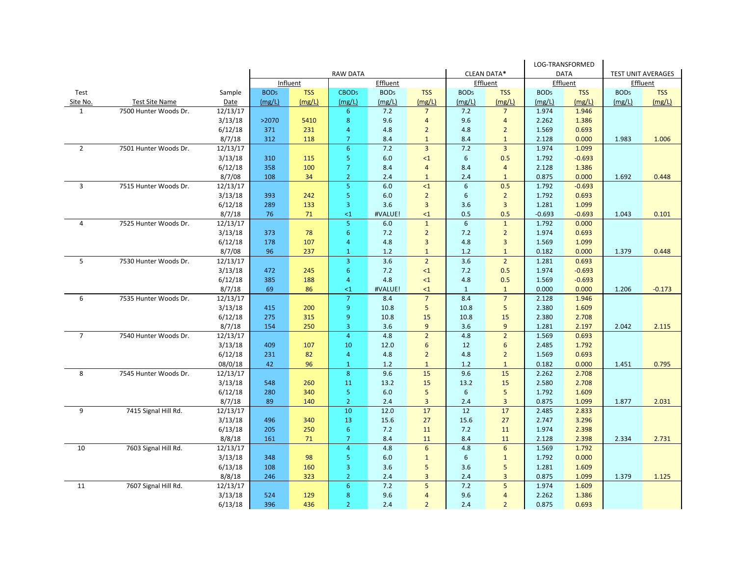|                |                       |          |                                               |            |                   |                  |                         | LOG-TRANSFORMED    |                |                  |            |                  |            |
|----------------|-----------------------|----------|-----------------------------------------------|------------|-------------------|------------------|-------------------------|--------------------|----------------|------------------|------------|------------------|------------|
|                |                       |          | CLEAN DATA*<br><b>RAW DATA</b><br><b>DATA</b> |            |                   |                  |                         | TEST UNIT AVERAGES |                |                  |            |                  |            |
|                |                       |          |                                               | Influent   |                   | Effluent         |                         |                    | Effluent       |                  | Effluent   | Effluent         |            |
| Test           |                       | Sample   | BOD <sub>5</sub>                              | <b>TSS</b> | CBOD <sub>5</sub> | BOD <sub>5</sub> | <b>TSS</b>              | BOD <sub>5</sub>   | <b>TSS</b>     | BOD <sub>5</sub> | <b>TSS</b> | BOD <sub>5</sub> | <b>TSS</b> |
| Site No.       | <b>Test Site Name</b> | Date     | (mg/L)                                        | (mg/L)     | (mg/L)            | (mg/L)           | (mg/L)                  | (mg/L)             | (mg/L)         | (mg/L)           | (mg/L)     | (mg/L)           | (mg/L)     |
| $\mathbf{1}$   | 7500 Hunter Woods Dr. | 12/13/17 |                                               |            | 6 <sup>1</sup>    | 7.2              | $\overline{7}$          | 7.2                | $\overline{7}$ | 1.974            | 1.946      |                  |            |
|                |                       | 3/13/18  | >2070                                         | 5410       | 8                 | 9.6              | $\overline{4}$          | 9.6                | $\overline{4}$ | 2.262            | 1.386      |                  |            |
|                |                       | 6/12/18  | 371                                           | 231        | 4                 | 4.8              | $\overline{2}$          | 4.8                | $\overline{2}$ | 1.569            | 0.693      |                  |            |
|                |                       | 8/7/18   | 312                                           | 118        | $\overline{7}$    | 8.4              | $\mathbf{1}$            | 8.4                | $\mathbf{1}$   | 2.128            | 0.000      | 1.983            | 1.006      |
| $\overline{2}$ | 7501 Hunter Woods Dr. | 12/13/17 |                                               |            | 6 <sup>1</sup>    | 7.2              | $\overline{3}$          | $7.2$              | $\overline{3}$ | 1.974            | 1.099      |                  |            |
|                |                       | 3/13/18  | 310                                           | 115        | $\overline{5}$    | 6.0              | $\leq 1$                | $\boldsymbol{6}$   | 0.5            | 1.792            | $-0.693$   |                  |            |
|                |                       | 6/12/18  | 358                                           | 100        | $\overline{7}$    | 8.4              | $\overline{4}$          | 8.4                | $\overline{4}$ | 2.128            | 1.386      |                  |            |
|                |                       | 8/7/08   | 108                                           | 34         | $\overline{2}$    | 2.4              | $\mathbf{1}$            | 2.4                | $\mathbf{1}$   | 0.875            | 0.000      | 1.692            | 0.448      |
| $\overline{3}$ | 7515 Hunter Woods Dr. | 12/13/17 |                                               |            | $\overline{5}$    | 6.0              | ${<}1$                  | $\boldsymbol{6}$   | 0.5            | 1.792            | $-0.693$   |                  |            |
|                |                       | 3/13/18  | 393                                           | 242        | 5 <sup>5</sup>    | 6.0              | $\overline{2}$          | 6                  | $\overline{2}$ | 1.792            | 0.693      |                  |            |
|                |                       | 6/12/18  | 289                                           | 133        | $\overline{3}$    | 3.6              | $\overline{3}$          | 3.6                | $\overline{3}$ | 1.281            | 1.099      |                  |            |
|                |                       | 8/7/18   | 76                                            | 71         | $\leq 1$          | #VALUE!          | $\leq 1$                | 0.5                | 0.5            | $-0.693$         | $-0.693$   | 1.043            | 0.101      |
| $\overline{4}$ | 7525 Hunter Woods Dr. | 12/13/17 |                                               |            | 5 <sup>1</sup>    | 6.0              | $\mathbf{1}$            | $6\phantom{1}$     | $\mathbf{1}$   | 1.792            | 0.000      |                  |            |
|                |                       | 3/13/18  | 373                                           | 78         | 6 <sup>6</sup>    | 7.2              | $\overline{2}$          | 7.2                | $\overline{2}$ | 1.974            | 0.693      |                  |            |
|                |                       | 6/12/18  | 178                                           | 107        | 4                 | 4.8              | $\overline{3}$          | 4.8                | $\overline{3}$ | 1.569            | 1.099      |                  |            |
|                |                       | 8/7/08   | 96                                            | 237        | $\mathbf{1}$      | 1.2              | $\mathbf{1}$            | 1.2                | $\mathbf{1}$   | 0.182            | 0.000      | 1.379            | 0.448      |
| 5              | 7530 Hunter Woods Dr. | 12/13/17 |                                               |            | $\overline{3}$    | 3.6              | $\overline{2}$          | 3.6                | $\overline{2}$ | 1.281            | 0.693      |                  |            |
|                |                       | 3/13/18  | 472                                           | 245        | $6^{\circ}$       | 7.2              | $\leq 1$                | 7.2                | 0.5            | 1.974            | $-0.693$   |                  |            |
|                |                       | 6/12/18  | 385                                           | 188        | $\overline{4}$    | 4.8              | $\leq 1$                | 4.8                | 0.5            | 1.569            | $-0.693$   |                  |            |
|                |                       | 8/7/18   | 69                                            | 86         | $\leq$ 1          | #VALUE!          | $\leq 1$                | $\mathbf{1}$       | $\mathbf{1}$   | 0.000            | 0.000      | 1.206            | $-0.173$   |
| 6              | 7535 Hunter Woods Dr. | 12/13/17 |                                               |            | $\overline{7}$    | 8.4              | $\overline{7}$          | 8.4                | $\overline{7}$ | 2.128            | 1.946      |                  |            |
|                |                       | 3/13/18  | 415                                           | 200        | 9                 | 10.8             | 5                       | 10.8               | 5              | 2.380            | 1.609      |                  |            |
|                |                       | 6/12/18  | 275                                           | 315        | 9                 | 10.8             | 15                      | 10.8               | 15             | 2.380            | 2.708      |                  |            |
|                |                       | 8/7/18   | 154                                           | 250        | 3                 | 3.6              | 9                       | 3.6                | 9              | 1.281            | 2.197      | 2.042            | 2.115      |
| $\overline{7}$ | 7540 Hunter Woods Dr. | 12/13/17 |                                               |            | $\overline{4}$    | 4.8              | $\overline{2}$          | 4.8                | $\overline{2}$ | 1.569            | 0.693      |                  |            |
|                |                       | 3/13/18  | 409                                           | 107        | 10                | 12.0             | 6                       | 12                 | $6\phantom{1}$ | 2.485            | 1.792      |                  |            |
|                |                       | 6/12/18  | 231                                           | 82         | 4                 | 4.8              | $\overline{2}$          | 4.8                | $\overline{2}$ | 1.569            | 0.693      |                  |            |
|                |                       | 08/0/18  | 42                                            | 96         | $\mathbf{1}$      | $1.2$            | $\mathbf{1}$            | $1.2\,$            | $\mathbf{1}$   | 0.182            | 0.000      | 1.451            | 0.795      |
| 8              | 7545 Hunter Woods Dr. | 12/13/17 |                                               |            | $\boldsymbol{8}$  | 9.6              | 15                      | 9.6                | 15             | 2.262            | 2.708      |                  |            |
|                |                       | 3/13/18  | 548                                           | 260        | 11                | 13.2             | 15                      | 13.2               | 15             | 2.580            | 2.708      |                  |            |
|                |                       | 6/12/18  | 280                                           | 340        | 5 <sup>1</sup>    | 6.0              | 5                       | 6                  | 5              | 1.792            | 1.609      |                  |            |
|                |                       | 8/7/18   | 89                                            | 140        | $\overline{2}$    | 2.4              | $\overline{3}$          | 2.4                | $\overline{3}$ | 0.875            | 1.099      | 1.877            | 2.031      |
| 9              | 7415 Signal Hill Rd.  | 12/13/17 |                                               |            | 10                | 12.0             | 17                      | 12                 | 17             | 2.485            | 2.833      |                  |            |
|                |                       | 3/13/18  | 496                                           | 340        | 13                | 15.6             | 27                      | 15.6               | 27             | 2.747            | 3.296      |                  |            |
|                |                       | 6/13/18  | 205                                           | 250        | 6 <sup>1</sup>    | 7.2              | 11                      | 7.2                | 11             | 1.974            | 2.398      |                  |            |
|                |                       | 8/8/18   | 161                                           | 71         | 7                 | 8.4              | 11                      | 8.4                | 11             | 2.128            | 2.398      | 2.334            | 2.731      |
| 10             | 7603 Signal Hill Rd.  | 12/13/17 |                                               |            | $\overline{4}$    | 4.8              | 6                       | 4.8                | 6              | 1.569            | 1.792      |                  |            |
|                |                       | 3/13/18  | 348                                           | 98         | $\overline{5}$    | 6.0              | $\mathbf{1}$            | 6                  | $\mathbf{1}$   | 1.792            | 0.000      |                  |            |
|                |                       | 6/13/18  | 108                                           | 160        | 3                 | 3.6              | 5                       | 3.6                | 5              | 1.281            | 1.609      |                  |            |
|                |                       | 8/8/18   | 246                                           | 323        | $\overline{2}$    | 2.4              | $\overline{\mathbf{3}}$ | 2.4                | 3              | 0.875            | 1.099      | 1.379            | 1.125      |
| 11             | 7607 Signal Hill Rd.  | 12/13/17 |                                               |            | 6                 | 7.2              | 5                       | 7.2                | 5              | 1.974            | 1.609      |                  |            |
|                |                       | 3/13/18  | 524                                           | 129        | 8                 | 9.6              | $\overline{4}$          | 9.6                | $\overline{4}$ | 2.262            | 1.386      |                  |            |
|                |                       | 6/13/18  | 396                                           | 436        | $\overline{2}$    | 2.4              | $\overline{2}$          | 2.4                | $\overline{2}$ | 0.875            | 0.693      |                  |            |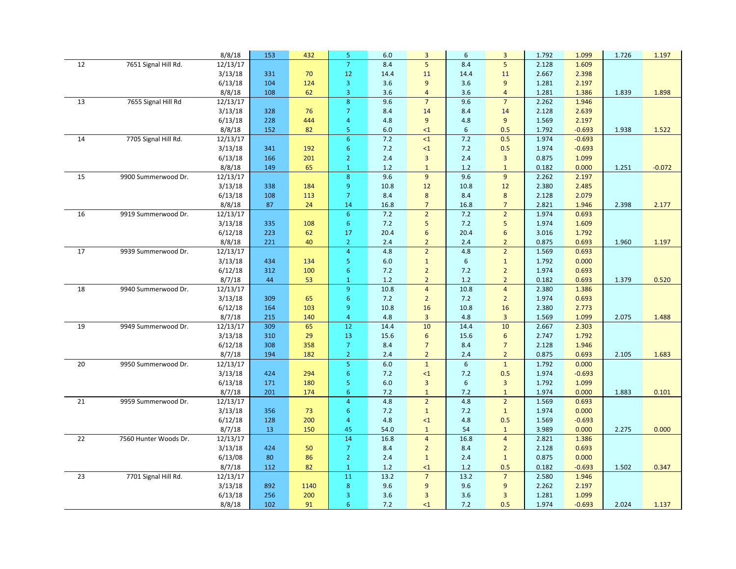|    |                       | 8/8/18   | 153 | 432  | 5 <sub>o</sub>   | 6.0  | $\overline{3}$  | 6     | $\overline{3}$   | 1.792 | 1.099    | 1.726 | 1.197    |
|----|-----------------------|----------|-----|------|------------------|------|-----------------|-------|------------------|-------|----------|-------|----------|
| 12 | 7651 Signal Hill Rd.  | 12/13/17 |     |      | $\overline{7}$   | 8.4  | 5               | 8.4   | 5                | 2.128 | 1.609    |       |          |
|    |                       | 3/13/18  | 331 | 70   | 12               | 14.4 | 11              | 14.4  | 11               | 2.667 | 2.398    |       |          |
|    |                       | 6/13/18  | 104 | 124  | $\overline{3}$   | 3.6  | 9               | 3.6   | 9                | 1.281 | 2.197    |       |          |
|    |                       | 8/8/18   | 108 | 62   | $\overline{3}$   | 3.6  | $\overline{4}$  | 3.6   | $\overline{4}$   | 1.281 | 1.386    | 1.839 | 1.898    |
| 13 | 7655 Signal Hill Rd   | 12/13/17 |     |      | $\boldsymbol{8}$ | 9.6  | $\overline{7}$  | 9.6   | $\overline{7}$   | 2.262 | 1.946    |       |          |
|    |                       | 3/13/18  | 328 | 76   | $\overline{7}$   | 8.4  | 14              | 8.4   | 14               | 2.128 | 2.639    |       |          |
|    |                       | 6/13/18  | 228 | 444  | $\overline{4}$   | 4.8  | 9               | 4.8   | 9                | 1.569 | 2.197    |       |          |
|    |                       | 8/8/18   | 152 | 82   | 5 <sub>o</sub>   | 6.0  | $\leq 1$        | 6     | 0.5              | 1.792 | $-0.693$ | 1.938 | 1.522    |
| 14 | 7705 Signal Hill Rd.  | 12/13/17 |     |      | $\overline{6}$   | 7.2  | $\leq 1$        | 7.2   | 0.5              | 1.974 | $-0.693$ |       |          |
|    |                       | 3/13/18  | 341 | 192  | $6^{\circ}$      | 7.2  | $\leq 1$        | 7.2   | 0.5              | 1.974 | $-0.693$ |       |          |
|    |                       | 6/13/18  | 166 | 201  | $\overline{2}$   | 2.4  | $\overline{3}$  | 2.4   | $\overline{3}$   | 0.875 | 1.099    |       |          |
|    |                       | 8/8/18   | 149 | 65   | $\mathbf{1}$     | 1.2  | $\mathbf{1}$    | $1.2$ | $\mathbf{1}$     | 0.182 | 0.000    | 1.251 | $-0.072$ |
| 15 | 9900 Summerwood Dr.   | 12/13/17 |     |      | $\boldsymbol{8}$ | 9.6  | 9               | 9.6   | 9                | 2.262 | 2.197    |       |          |
|    |                       | 3/13/18  | 338 | 184  | $\boldsymbol{9}$ | 10.8 | $12$            | 10.8  | 12               | 2.380 | 2.485    |       |          |
|    |                       | 6/13/18  | 108 | 113  | $\overline{7}$   | 8.4  | $\bf 8$         | 8.4   | 8                | 2.128 | 2.079    |       |          |
|    |                       | 8/8/18   | 87  | 24   | 14               | 16.8 | $\overline{7}$  | 16.8  | $\overline{7}$   | 2.821 | 1.946    | 2.398 | 2.177    |
| 16 | 9919 Summerwood Dr.   | 12/13/17 |     |      | 6 <sup>1</sup>   | 7.2  | $\overline{2}$  | 7.2   | $\overline{2}$   | 1.974 | 0.693    |       |          |
|    |                       | 3/13/18  | 335 | 108  | $6^{\circ}$      | 7.2  | 5               | 7.2   | 5                | 1.974 | 1.609    |       |          |
|    |                       | 6/12/18  | 223 | 62   | 17               | 20.4 | $6\overline{6}$ | 20.4  | $6\overline{6}$  | 3.016 | 1.792    |       |          |
|    |                       | 8/8/18   | 221 | 40   | $\overline{2}$   | 2.4  | $\overline{2}$  | 2.4   | $\overline{2}$   | 0.875 | 0.693    | 1.960 | 1.197    |
| 17 | 9939 Summerwood Dr.   | 12/13/17 |     |      | $\overline{4}$   | 4.8  | $\overline{2}$  | 4.8   | $\overline{2}$   | 1.569 | 0.693    |       |          |
|    |                       | 3/13/18  | 434 | 134  | 5                | 6.0  | $\mathbf{1}$    | 6     | $\mathbf{1}$     | 1.792 | 0.000    |       |          |
|    |                       | 6/12/18  | 312 | 100  | 6                | 7.2  | $\overline{2}$  | 7.2   | $\overline{2}$   | 1.974 | 0.693    |       |          |
|    |                       | 8/7/18   | 44  | 53   | $\mathbf{1}$     | 1.2  | $\overline{2}$  | $1.2$ | $\overline{2}$   | 0.182 | 0.693    | 1.379 | 0.520    |
| 18 | 9940 Summerwood Dr.   | 12/13/17 |     |      | 9 <sup>°</sup>   | 10.8 | $\overline{4}$  | 10.8  | $\overline{4}$   | 2.380 | 1.386    |       |          |
|    |                       | 3/13/18  | 309 | 65   | $6\phantom{a}$   | 7.2  | $\overline{2}$  | 7.2   | $\overline{2}$   | 1.974 | 0.693    |       |          |
|    |                       | 6/12/18  | 164 | 103  | $\boldsymbol{9}$ | 10.8 | 16              | 10.8  | 16               | 2.380 | 2.773    |       |          |
|    |                       | 8/7/18   | 215 | 140  | $\overline{4}$   | 4.8  | $\overline{3}$  | 4.8   | $\overline{3}$   | 1.569 | 1.099    | 2.075 | 1.488    |
| 19 | 9949 Summerwood Dr.   | 12/13/17 | 309 | 65   | 12               | 14.4 | 10              | 14.4  | 10               | 2.667 | 2.303    |       |          |
|    |                       | 3/13/18  | 310 | 29   | 13               | 15.6 | 6               | 15.6  | $\boldsymbol{6}$ | 2.747 | 1.792    |       |          |
|    |                       | 6/12/18  | 308 | 358  | $\overline{7}$   | 8.4  | $\overline{7}$  | 8.4   | $\overline{7}$   | 2.128 | 1.946    |       |          |
|    |                       | 8/7/18   | 194 | 182  | $\overline{2}$   | 2.4  | $\overline{2}$  | $2.4$ | $\overline{2}$   | 0.875 | 0.693    | 2.105 | 1.683    |
| 20 | 9950 Summerwood Dr.   | 12/13/17 |     |      | 5 <sub>o</sub>   | 6.0  | $\mathbf{1}$    | 6     | $\mathbf{1}$     | 1.792 | 0.000    |       |          |
|    |                       | 3/13/18  | 424 | 294  | $\boldsymbol{6}$ | 7.2  | $\leq 1$        | 7.2   | 0.5              | 1.974 | $-0.693$ |       |          |
|    |                       | 6/13/18  | 171 | 180  | 5 <sub>o</sub>   | 6.0  | $\overline{3}$  | 6     | $\overline{3}$   | 1.792 | 1.099    |       |          |
|    |                       | 8/7/18   | 201 | 174  | $6^{\circ}$      | 7.2  | $\mathbf{1}$    | 7.2   | $\mathbf{1}$     | 1.974 | 0.000    | 1.883 | 0.101    |
| 21 | 9959 Summerwood Dr.   | 12/13/17 |     |      | $\overline{4}$   | 4.8  | $\overline{2}$  | 4.8   | $\overline{2}$   | 1.569 | 0.693    |       |          |
|    |                       | 3/13/18  | 356 | 73   | $6^{\circ}$      | 7.2  | $\mathbf{1}$    | 7.2   | $\mathbf{1}$     | 1.974 | 0.000    |       |          |
|    |                       | 6/12/18  | 128 | 200  | $\overline{4}$   | 4.8  | $\leq 1$        | 4.8   | 0.5              | 1.569 | $-0.693$ |       |          |
|    |                       | 8/7/18   | 13  | 150  | 45               | 54.0 | $\mathbf{1}$    | 54    | $\mathbf{1}$     | 3.989 | 0.000    | 2.275 | 0.000    |
| 22 | 7560 Hunter Woods Dr. | 12/13/17 |     |      | 14               | 16.8 | $\overline{4}$  | 16.8  | $\overline{4}$   | 2.821 | 1.386    |       |          |
|    |                       | 3/13/18  | 424 | 50   | $\overline{7}$   | 8.4  | $\overline{2}$  | 8.4   | $\overline{2}$   | 2.128 | 0.693    |       |          |
|    |                       | 6/13/08  | 80  | 86   | $\overline{2}$   | 2.4  | $\mathbf{1}$    | 2.4   | $\mathbf{1}$     | 0.875 | 0.000    |       |          |
|    |                       | 8/7/18   | 112 | 82   | $\mathbf{1}$     | 1.2  | $\leq 1$        | $1.2$ | 0.5              | 0.182 | $-0.693$ | 1.502 | 0.347    |
| 23 | 7701 Signal Hill Rd.  | 12/13/17 |     |      | 11               | 13.2 | $\overline{7}$  | 13.2  | $\overline{7}$   | 2.580 | 1.946    |       |          |
|    |                       | 3/13/18  | 892 | 1140 | $\boldsymbol{8}$ | 9.6  | 9               | 9.6   | 9                | 2.262 | 2.197    |       |          |
|    |                       | 6/13/18  | 256 | 200  | 3                | 3.6  | 3               | 3.6   | $\overline{3}$   | 1.281 | 1.099    |       |          |
|    |                       | 8/8/18   | 102 | 91   | 6                | 7.2  | $\leq 1$        | 7.2   | 0.5              | 1.974 | $-0.693$ | 2.024 | 1.137    |